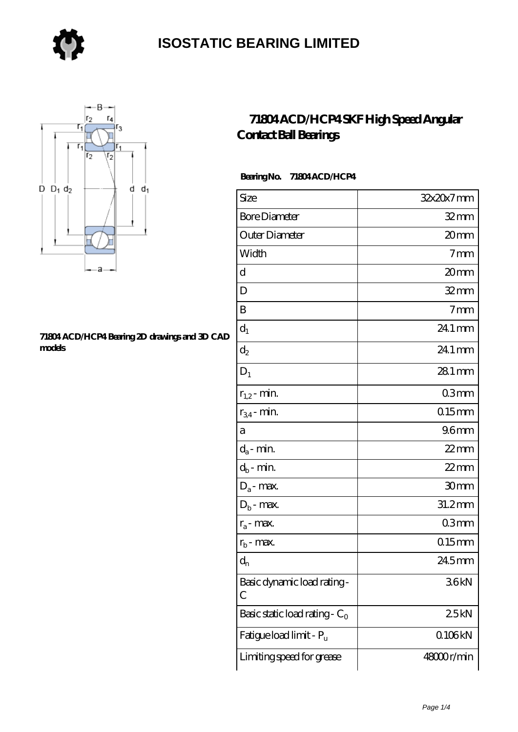



#### **[71804 ACD/HCP4 Bearing 2D drawings and 3D CAD](https://store-isabelmarant.com/pic-931643.html) [models](https://store-isabelmarant.com/pic-931643.html)**

### **[71804 ACD/HCP4 SKF High Speed Angular](https://store-isabelmarant.com/skf-bearings/71804-acd-hcp4.html) [Contact Ball Bearings](https://store-isabelmarant.com/skf-bearings/71804-acd-hcp4.html)**

#### **Bearing No. 71804 ACD/HCP4**

| Size                             | 32x20x7mm           |
|----------------------------------|---------------------|
| <b>Bore Diameter</b>             | $32$ mm             |
| Outer Diameter                   | 20 <sub>mm</sub>    |
| Width                            | 7 <sub>mm</sub>     |
| d                                | 20mm                |
| D                                | $32$ mm             |
| B                                | 7 <sub>mm</sub>     |
| $d_1$                            | 24.1 mm             |
| $\mathrm{d}_2$                   | 24.1 mm             |
| $D_1$                            | $281 \,\mathrm{mm}$ |
| $r_{1,2}$ - min.                 | 03mm                |
| $r_{34}$ - min.                  | $015$ mm            |
| а                                | 96 <sub>mm</sub>    |
| $d_a$ - min.                     | $22$ mm             |
| $d_b$ - min.                     | $22$ mm             |
| $D_a$ - max.                     | 30mm                |
| $D_b$ - max.                     | $31.2$ mm           |
| $r_a$ - max.                     | 03 <sub>mm</sub>    |
| $r_{b}$ - max.                   | $015$ mm            |
| $d_{n}$                          | 245mm               |
| Basic dynamic load rating-<br>С  | 36kN                |
| Basic static load rating - $C_0$ | 25kN                |
| Fatigue load limit - Pu          | Q106kN              |
| Limiting speed for grease        | 48000r/min          |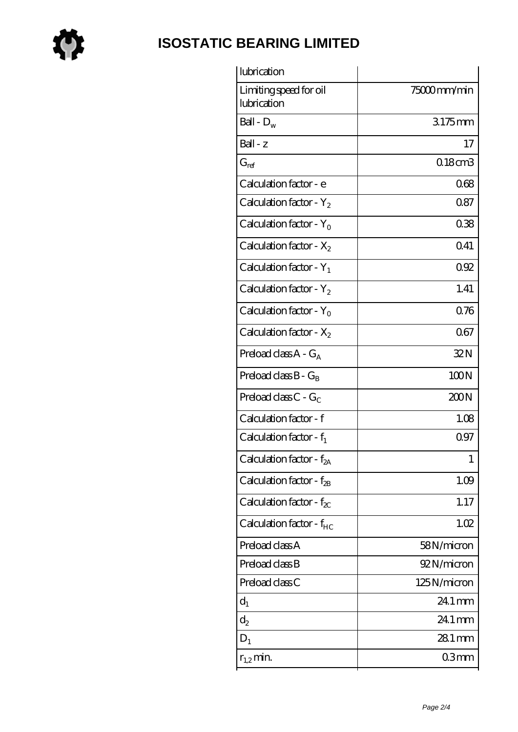

| lubrication                           |                     |
|---------------------------------------|---------------------|
| Limiting speed for oil<br>lubrication | 75000mm/min         |
| Ball - $D_w$                          | 3175mm              |
| $Ball - z$                            | 17                  |
| $G_{ref}$                             | 0.18cm3             |
| Calculation factor - e                | 068                 |
| Calculation factor - $Y_2$            | 087                 |
| Calculation factor - $Y_0$            | 038                 |
| Calculation factor - $X_2$            | 041                 |
| Calculation factor - $Y_1$            | 092                 |
| Calculation factor - $Y_2$            | 1.41                |
| Calculation factor - $Y_0$            | 0.76                |
| Calculation factor - $X_2$            | 067                 |
| Preload class $A - G_A$               | 32N                 |
| Preload class $B - G_B$               | 100N                |
| Preload class $C - G_C$               | 200N                |
| Calculation factor - f                | 1.08                |
| Calculation factor - $f_1$            | 097                 |
| Calculation factor - f <sub>2A</sub>  | 1                   |
| Calculation factor - $f_{2B}$         | 1.09                |
| Calculation factor - $f_{\chi}$       | 1.17                |
| Calculation factor - f <sub>HC</sub>  | 1.02                |
| Preload class A                       | 58N/micron          |
| Preload class B                       | 92N/micron          |
| Preload class C                       | 125N/micron         |
| $d_1$                                 | 24.1 mm             |
| $\mathrm{d}_2$                        | 24.1 mm             |
| $D_1$                                 | $281 \,\mathrm{mm}$ |
| $r_{1,2}$ min.                        | 03mm                |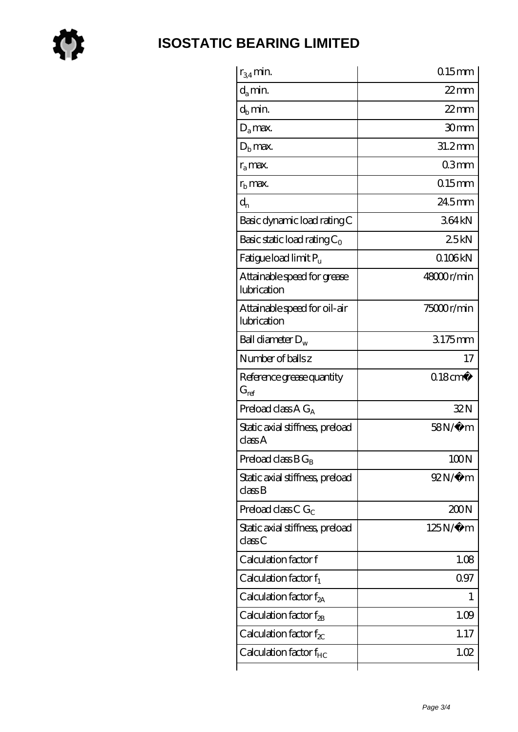

| $r_{34}$ min.                               | $0.15$ mm              |
|---------------------------------------------|------------------------|
| $d_a$ min.                                  | $22$ mm                |
| $d_b$ min.                                  | $22$ mm                |
| $D_a$ max.                                  | 30 <sub>mm</sub>       |
| $Db$ max.                                   | $31.2$ mm              |
| $r_a$ max.                                  | 03mm                   |
| $rb$ max.                                   | $0.15$ mm              |
| $d_{n}$                                     | $245$ mm               |
| Basic dynamic load rating C                 | 364kN                  |
| Basic static load rating $C_0$              | 25kN                   |
| Fatigue load limit Pu                       | 0106kN                 |
| Attainable speed for grease<br>lubrication  | 48000r/min             |
| Attainable speed for oil-air<br>lubrication | 75000r/min             |
| Ball diameter $D_w$                         | 3175mm                 |
| Number of balls z                           | 17                     |
| Reference grease quantity<br>$G_{ref}$      | $0.18$ cm <sup>3</sup> |
| Preload class A $G_A$                       | 32N                    |
| Static axial stiffness, preload<br>classA   | $58N/\mu$ m            |
| Preload class $BG_B$                        | 100N                   |
| Static axial stiffness, preload<br>classB   | $92N/\mu$ m            |
| Preload class C $G_C$                       | 200N                   |
| Static axial stiffness, preload<br>classC   | $125N/\mu$ m           |
| Calculation factor f                        | 1.08                   |
| Calculation factor $f_1$                    | 097                    |
| Calculation factor $f_{2A}$                 | T                      |
| Calculation factor $f_{\rm 2B}$             | 1.09                   |
| Calculation factor $f_{\chi}$               | 1.17                   |
| Calculation factor $f_{HC}$                 | 1.02                   |
|                                             |                        |